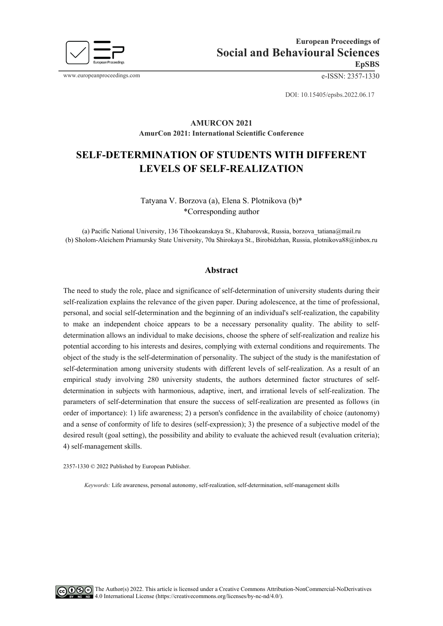

www.europeanproceedings.com e-ISSN: 2357-1330

DOI: 10.15405/epsbs.2022.06.17

# **AMURCON 2021 AmurCon 2021: International Scientific Conference**

# **SELF-DETERMINATION OF STUDENTS WITH DIFFERENT LEVELS OF SELF-REALIZATION**

Tatyana V. Borzova (a), Elena S. Plotnikova (b)\* \*Corresponding author

(a) Pacific National University, 136 Tihookeanskaya St., Khabarovsk, Russia[, borzova\\_tatiana@mail.ru](mailto:borzova_tatiana@mail.ru) (b) Sholom-Aleichem Priamursky State University, 70a Shirokaya St., Birobidzhan, Russia, plotnikova88@inbox.ru

#### **Abstract**

The need to study the role, place and significance of self-determination of university students during their self-realization explains the relevance of the given paper. During adolescence, at the time of professional, personal, and social self-determination and the beginning of an individual's self-realization, the capability to make an independent choice appears to be a necessary personality quality. The ability to selfdetermination allows an individual to make decisions, choose the sphere of self-realization and realize his potential according to his interests and desires, complying with external conditions and requirements. The object of the study is the self-determination of personality. The subject of the study is the manifestation of self-determination among university students with different levels of self-realization. As a result of an empirical study involving 280 university students, the authors determined factor structures of selfdetermination in subjects with harmonious, adaptive, inert, and irrational levels of self-realization. The parameters of self-determination that ensure the success of self-realization are presented as follows (in order of importance): 1) life awareness; 2) a person's confidence in the availability of choice (autonomy) and a sense of conformity of life to desires (self-expression); 3) the presence of a subjective model of the desired result (goal setting), the possibility and ability to evaluate the achieved result (evaluation criteria); 4) self-management skills.

2357-1330 © 2022 Published by European Publisher.

*Keywords:* Life awareness, personal autonomy, self-realization, self-determination, self-management skills

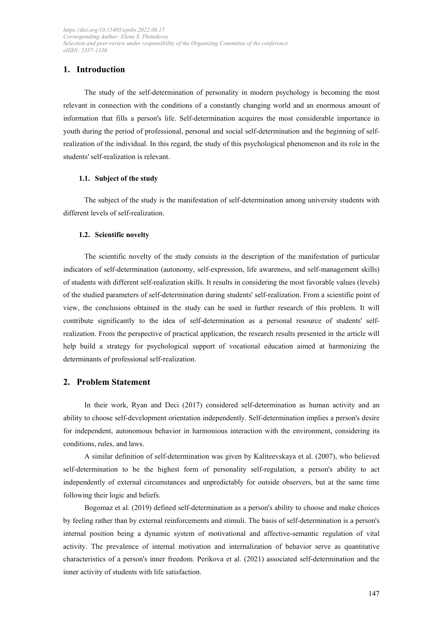# **1. Introduction**

The study of the self-determination of personality in modern psychology is becoming the most relevant in connection with the conditions of a constantly changing world and an enormous amount of information that fills a person's life. Self-determination acquires the most considerable importance in youth during the period of professional, personal and social self-determination and the beginning of selfrealization of the individual. In this regard, the study of this psychological phenomenon and its role in the students' self-realization is relevant.

#### **1.1. Subject of the study**

The subject of the study is the manifestation of self-determination among university students with different levels of self-realization.

#### **1.2. Scientific novelty**

The scientific novelty of the study consists in the description of the manifestation of particular indicators of self-determination (autonomy, self-expression, life awareness, and self-management skills) of students with different self-realization skills. It results in considering the most favorable values (levels) of the studied parameters of self-determination during students' self-realization. From a scientific point of view, the conclusions obtained in the study can be used in further research of this problem. It will contribute significantly to the idea of self-determination as a personal resource of students' selfrealization. From the perspective of practical application, the research results presented in the article will help build a strategy for psychological support of vocational education aimed at harmonizing the determinants of professional self-realization.

#### **2. Problem Statement**

In their work, Ryan and Deci (2017) considered self-determination as human activity and an ability to choose self-development orientation independently. Self-determination implies a person's desire for independent, autonomous behavior in harmonious interaction with the environment, considering its conditions, rules, and laws.

A similar definition of self-determination was given by Kaliteevskaya et al. (2007), who believed self-determination to be the highest form of personality self-regulation, a person's ability to act independently of external circumstances and unpredictably for outside observers, but at the same time following their logic and beliefs.

Bogomaz et al. (2019) defined self-determination as a person's ability to choose and make choices by feeling rather than by external reinforcements and stimuli. The basis of self-determination is a person's internal position being a dynamic system of motivational and affective-semantic regulation of vital activity. The prevalence of internal motivation and internalization of behavior serve as quantitative characteristics of a person's inner freedom. Perikova et al. (2021) associated self-determination and the inner activity of students with life satisfaction.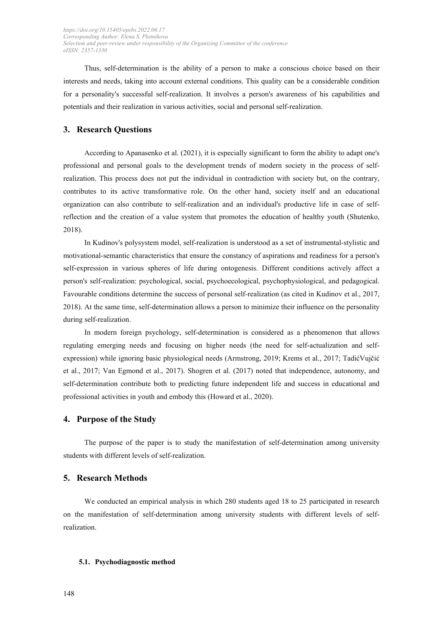Thus, self-determination is the ability of a person to make a conscious choice based on their interests and needs, taking into account external conditions. This quality can be a considerable condition for a personality's successful self-realization. It involves a person's awareness of his capabilities and potentials and their realization in various activities, social and personal self-realization.

# **3. Research Questions**

According to Apanasenko et al. (2021), it is especially significant to form the ability to adapt one's professional and personal goals to the development trends of modern society in the process of selfrealization. This process does not put the individual in contradiction with society but, on the contrary, contributes to its active transformative role. On the other hand, society itself and an educational organization can also contribute to self-realization and an individual's productive life in case of selfreflection and the creation of a value system that promotes the education of healthy youth (Shutenko, 2018).

In Kudinov's polysystem model, self-realization is understood as a set of instrumental-stylistic and motivational-semantic characteristics that ensure the constancy of aspirations and readiness for a person's self-expression in various spheres of life during ontogenesis. Different conditions actively affect a person's self-realization: psychological, social, psychoecological, psychophysiological, and pedagogical. Favourable conditions determine the success of personal self-realization (as cited in Kudinov et al., 2017, 2018). At the same time, self-determination allows a person to minimize their influence on the personality during self-realization.

In modern foreign psychology, self-determination is considered as a phenomenon that allows regulating emerging needs and focusing on higher needs (the need for self-actualization and selfexpression) while ignoring basic physiological needs (Armstrong, 2019; Krems et al., 2017; TadićVujčić et al., 2017; Van Egmond et al., 2017). Shogren et al. (2017) noted that independence, autonomy, and self-determination contribute both to predicting future independent life and success in educational and professional activities in youth and embody this (Howard et al., 2020).

#### **4. Purpose of the Studу**

The purpose of the paper is to study the manifestation of self-determination among university students with different levels of self-realization.

# **5. Research Methods**

We conducted an empirical analysis in which 280 students aged 18 to 25 participated in research on the manifestation of self-determination among university students with different levels of selfrealization.

#### **5.1. Psychodiagnostic method**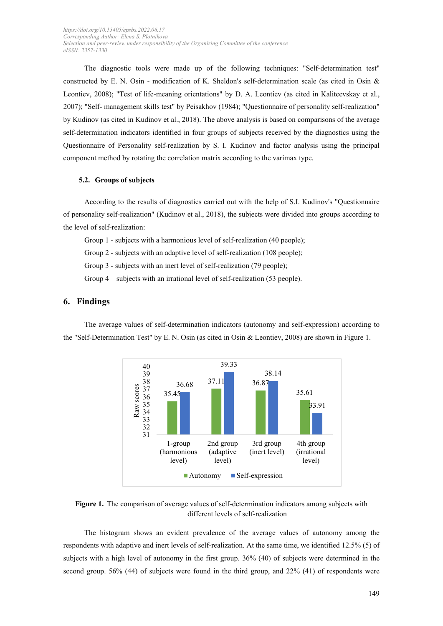The diagnostic tools were made up of the following techniques: "Self-determination test" constructed by E. N. Osin - modification of K. Sheldon's self-determination scale (as cited in Osin & Leontiev, 2008); "Test of life-meaning orientations" by D. A. Leontiev (as cited in Kaliteevskay et al., 2007); "Self- management skills test" by Peisakhov (1984); "Questionnaire of personality self-realization" by Kudinov (as cited in Kudinov et al., 2018). The above analysis is based on comparisons of the average self-determination indicators identified in four groups of subjects received by the diagnostics using the Questionnaire of Personality self-realization by S. I. Kudinov and factor analysis using the principal component method by rotating the correlation matrix according to the varimax type.

#### **5.2. Groups of subjects**

According to the results of diagnostics carried out with the help of S.I. Kudinov's "Questionnaire of personality self-realization" (Kudinov et al., 2018), the subjects were divided into groups according to the level of self-realization:

Group 1 - subjects with a harmonious level of self-realization (40 people);

Group 2 - subjects with an adaptive level of self-realization (108 people);

Group 3 - subjects with an inert level of self-realization (79 people);

Group 4 – subjects with an irrational level of self-realization (53 people).

#### **6. Findings**

The average values of self-determination indicators (autonomy and self-expression) according to the "Self-Determination Test" by E. N. Osin (as cited in Osin & Leontiev, 2008) are shown in Figure 1.



**Figure 1.** The comparison of average values of self-determination indicators among subjects with different levels of self-realization

The histogram shows an evident prevalence of the average values of autonomy among the respondents with adaptive and inert levels of self-realization. At the same time, we identified 12.5% (5) of subjects with a high level of autonomy in the first group. 36% (40) of subjects were determined in the second group. 56% (44) of subjects were found in the third group, and 22% (41) of respondents were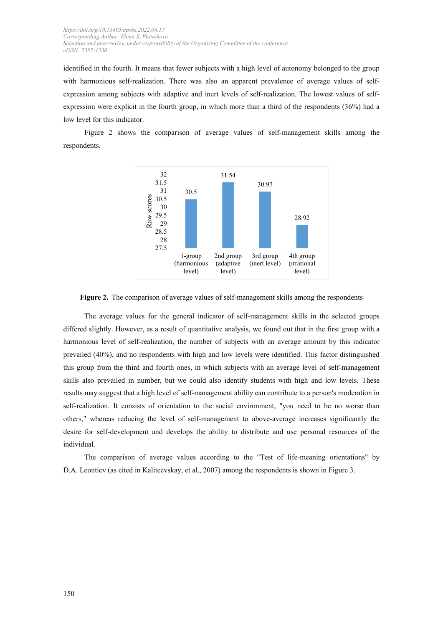identified in the fourth. It means that fewer subjects with a high level of autonomy belonged to the group with harmonious self-realization. There was also an apparent prevalence of average values of selfexpression among subjects with adaptive and inert levels of self-realization. The lowest values of selfexpression were explicit in the fourth group, in which more than a third of the respondents (36%) had a low level for this indicator.



Figure 2 shows the comparison of average values of self-management skills among the respondents.

#### **Figure 2.** The comparison of average values of self-management skills among the respondents

The average values for the general indicator of self-management skills in the selected groups differed slightly. However, as a result of quantitative analysis, we found out that in the first group with a harmonious level of self-realization, the number of subjects with an average amount by this indicator prevailed (40%), and no respondents with high and low levels were identified. This factor distinguished this group from the third and fourth ones, in which subjects with an average level of self-management skills also prevailed in number, but we could also identify students with high and low levels. These results may suggest that a high level of self-management ability can contribute to a person's moderation in self-realization. It consists of orientation to the social environment, "you need to be no worse than others," whereas reducing the level of self-management to above-average increases significantly the desire for self-development and develops the ability to distribute and use personal resources of the individual.

The comparison of average values according to the "Test of life-meaning orientations" by D.A. Leontiev (as cited in Kaliteevskay, et al., 2007) among the respondents is shown in Figure 3.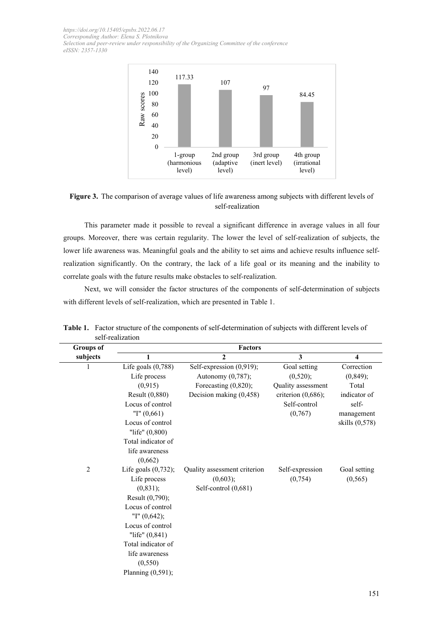

**Figure 3.** The comparison of average values of life awareness among subjects with different levels of self-realization

This parameter made it possible to reveal a significant difference in average values in all four groups. Moreover, there was certain regularity. The lower the level of self-realization of subjects, the lower life awareness was. Meaningful goals and the ability to set aims and achieve results influence selfrealization significantly. On the contrary, the lack of a life goal or its meaning and the inability to correlate goals with the future results make obstacles to self-realization.

Next, we will consider the factor structures of the components of self-determination of subjects with different levels of self-realization, which are presented in Table 1.

| <b>Groups</b> of | <b>Factors</b>         |                              |                       |                         |  |
|------------------|------------------------|------------------------------|-----------------------|-------------------------|--|
| subjects         | 1                      | $\mathbf{2}$                 | 3                     | $\overline{\mathbf{4}}$ |  |
| 1                | Life goals $(0,788)$   | Self-expression (0,919);     | Goal setting          | Correction              |  |
|                  | Life process           | Autonomy (0,787);            | (0,520);              | (0, 849);               |  |
|                  | (0, 915)               | Forecasting (0,820);         | Quality assessment    | Total                   |  |
|                  | Result (0,880)         | Decision making (0,458)      | criterion $(0,686)$ ; | indicator of            |  |
|                  | Locus of control       |                              | Self-control          | self-                   |  |
|                  | "I" $(0,661)$          |                              | (0,767)               | management              |  |
|                  | Locus of control       |                              |                       | skills (0,578)          |  |
|                  | "life" (0,800)         |                              |                       |                         |  |
|                  | Total indicator of     |                              |                       |                         |  |
|                  | life awareness         |                              |                       |                         |  |
|                  | (0,662)                |                              |                       |                         |  |
| $\overline{c}$   | Life goals $(0,732)$ ; | Quality assessment criterion | Self-expression       | Goal setting            |  |
|                  | Life process           | (0,603);                     | (0,754)               | (0, 565)                |  |
|                  | (0, 831);              | Self-control (0,681)         |                       |                         |  |
|                  | Result (0,790);        |                              |                       |                         |  |
|                  | Locus of control       |                              |                       |                         |  |
|                  | "I" $(0,642)$ ;        |                              |                       |                         |  |
|                  | Locus of control       |                              |                       |                         |  |
|                  | "life" $(0,841)$       |                              |                       |                         |  |
|                  | Total indicator of     |                              |                       |                         |  |
|                  | life awareness         |                              |                       |                         |  |
|                  | (0, 550)               |                              |                       |                         |  |
|                  | Planning $(0,591)$ ;   |                              |                       |                         |  |

**Table 1.** Factor structure of the components of self-determination of subjects with different levels of self-realization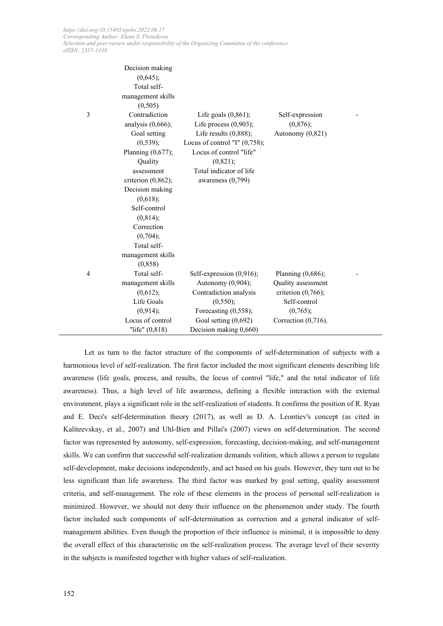|   | Decision making       |                                  |                        |  |
|---|-----------------------|----------------------------------|------------------------|--|
|   | (0,645);              |                                  |                        |  |
|   | Total self-           |                                  |                        |  |
|   | management skills     |                                  |                        |  |
|   | (0,505)               |                                  |                        |  |
| 3 | Contradiction         | Life goals $(0,861)$ ;           | Self-expression        |  |
|   | analysis $(0,666)$ ;  | Life process $(0,903)$ ;         | (0,876);               |  |
|   | Goal setting          | Life results $(0,888)$ ;         | Autonomy $(0,821)$     |  |
|   | (0, 539);             | Locus of control "I" $(0,758)$ ; |                        |  |
|   | Planning $(0,677)$ ;  | Locus of control "life"          |                        |  |
|   | Quality               | (0,821);                         |                        |  |
|   | assessment            | Total indicator of life          |                        |  |
|   | criterion $(0,862)$ ; | awareness $(0,799)$              |                        |  |
|   | Decision making       |                                  |                        |  |
|   | (0,618);              |                                  |                        |  |
|   | Self-control          |                                  |                        |  |
|   | (0, 814);             |                                  |                        |  |
|   | Correction            |                                  |                        |  |
|   | (0,704);              |                                  |                        |  |
|   | Total self-           |                                  |                        |  |
|   | management skills     |                                  |                        |  |
|   | (0,858)               |                                  |                        |  |
| 4 | Total self-           | Self-expression (0,916);         | Planning $(0,686)$ ;   |  |
|   | management skills     | Autonomy (0,904);                | Quality assessment     |  |
|   | (0,612);              | Contradiction analysis           | criterion $(0,766)$ ;  |  |
|   | Life Goals            | (0, 550);                        | Self-control           |  |
|   | (0,914);              | Forecasting $(0,558)$ ;          | (0,765);               |  |
|   | Locus of control      | Goal setting (0,692)             | Correction $(0,716)$ . |  |
|   | "life" $(0,818)$      | Decision making 0,660)           |                        |  |

Let us turn to the factor structure of the components of self-determination of subjects with a harmonious level of self-realization. The first factor included the most significant elements describing life awareness (life goals, process, and results, the locus of control "life," and the total indicator of life awareness). Thus, a high level of life awareness, defining a flexible interaction with the external environment, plays a significant role in the self-realization of students. It confirms the position of R. Ryan and E. Deci's self-determination theory (2017), as well as D. A. Leontiev's concept (as cited in Kaliteevskay, et al., 2007) and Uhl-Bien and Pillai's (2007) views on self-determination. The second factor was represented by autonomy, self-expression, forecasting, decision-making, and self-management skills. We can confirm that successful self-realization demands volition, which allows a person to regulate self-development, make decisions independently, and act based on his goals. However, they turn out to be less significant than life awareness. The third factor was marked by goal setting, quality assessment criteria, and self-management. The role of these elements in the process of personal self-realization is minimized. However, we should not deny their influence on the phenomenon under study. The fourth factor included such components of self-determination as correction and a general indicator of selfmanagement abilities. Even though the proportion of their influence is minimal, it is impossible to deny the overall effect of this characteristic on the self-realization process. The average level of their severity in the subjects is manifested together with higher values of self-realization.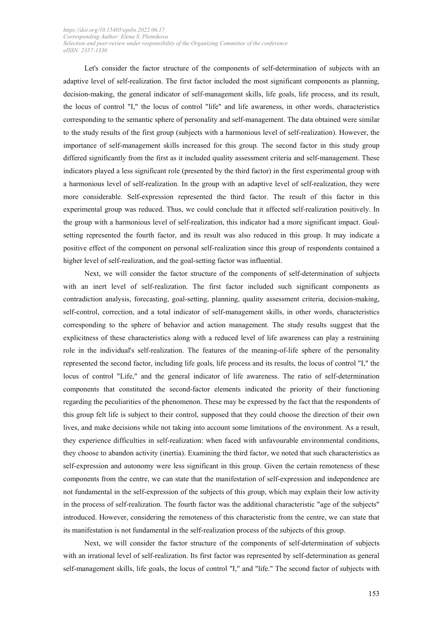Let's consider the factor structure of the components of self-determination of subjects with an adaptive level of self-realization. The first factor included the most significant components as planning, decision-making, the general indicator of self-management skills, life goals, life process, and its result, the locus of control "I," the locus of control "life" and life awareness, in other words, characteristics corresponding to the semantic sphere of personality and self-management. The data obtained were similar to the study results of the first group (subjects with a harmonious level of self-realization). However, the importance of self-management skills increased for this group. The second factor in this study group differed significantly from the first as it included quality assessment criteria and self-management. These indicators played a less significant role (presented by the third factor) in the first experimental group with a harmonious level of self-realization. In the group with an adaptive level of self-realization, they were more considerable. Self-expression represented the third factor. The result of this factor in this experimental group was reduced. Thus, we could conclude that it affected self-realization positively. In the group with a harmonious level of self-realization, this indicator had a more significant impact. Goalsetting represented the fourth factor, and its result was also reduced in this group. It may indicate a positive effect of the component on personal self-realization since this group of respondents contained a higher level of self-realization, and the goal-setting factor was influential.

Next, we will consider the factor structure of the components of self-determination of subjects with an inert level of self-realization. The first factor included such significant components as contradiction analysis, forecasting, goal-setting, planning, quality assessment criteria, decision-making, self-control, correction, and a total indicator of self-management skills, in other words, characteristics corresponding to the sphere of behavior and action management. The study results suggest that the explicitness of these characteristics along with a reduced level of life awareness can play a restraining role in the individual's self-realization. The features of the meaning-of-life sphere of the personality represented the second factor, including life goals, life process and its results, the locus of control "I," the locus of control "Life," and the general indicator of life awareness. The ratio of self-determination components that constituted the second-factor elements indicated the priority of their functioning regarding the peculiarities of the phenomenon. These may be expressed by the fact that the respondents of this group felt life is subject to their control, supposed that they could choose the direction of their own lives, and make decisions while not taking into account some limitations of the environment. As a result, they experience difficulties in self-realization: when faced with unfavourable environmental conditions, they choose to abandon activity (inertia). Examining the third factor, we noted that such characteristics as self-expression and autonomy were less significant in this group. Given the certain remoteness of these components from the centre, we can state that the manifestation of self-expression and independence are not fundamental in the self-expression of the subjects of this group, which may explain their low activity in the process of self-realization. The fourth factor was the additional characteristic "age of the subjects" introduced. However, considering the remoteness of this characteristic from the centre, we can state that its manifestation is not fundamental in the self-realization process of the subjects of this group.

Next, we will consider the factor structure of the components of self-determination of subjects with an irrational level of self-realization. Its first factor was represented by self-determination as general self-management skills, life goals, the locus of control "I," and "life." The second factor of subjects with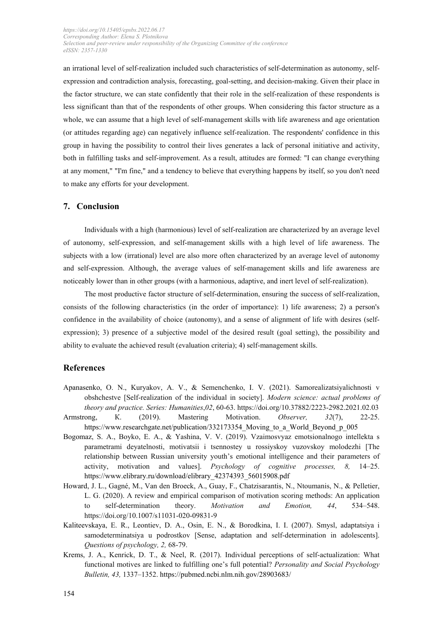an irrational level of self-realization included such characteristics of self-determination as autonomy, selfexpression and contradiction analysis, forecasting, goal-setting, and decision-making. Given their place in the factor structure, we can state confidently that their role in the self-realization of these respondents is less significant than that of the respondents of other groups. When considering this factor structure as a whole, we can assume that a high level of self-management skills with life awareness and age orientation (or attitudes regarding age) can negatively influence self-realization. The respondents' confidence in this group in having the possibility to control their lives generates a lack of personal initiative and activity, both in fulfilling tasks and self-improvement. As a result, attitudes are formed: "I can change everything at any moment," "I'm fine," and a tendency to believe that everything happens by itself, so you don't need to make any efforts for your development.

# **7. Conclusion**

Individuals with a high (harmonious) level of self-realization are characterized by an average level of autonomy, self-expression, and self-management skills with a high level of life awareness. The subjects with a low (irrational) level are also more often characterized by an average level of autonomy and self-expression. Although, the average values of self-management skills and life awareness are noticeably lower than in other groups (with a harmonious, adaptive, and inert level of self-realization).

The most productive factor structure of self-determination, ensuring the success of self-realization, consists of the following characteristics (in the order of importance): 1) life awareness; 2) a person's confidence in the availability of choice (autonomy), and a sense of alignment of life with desires (selfexpression); 3) presence of a subjective model of the desired result (goal setting), the possibility and ability to evaluate the achieved result (evaluation criteria); 4) self-management skills.

#### **References**

- Apanasenko, O. N., Kuryakov, A. V., & Semenchenko, I. V. (2021). Samorealizatsiyalichnosti v obshchestve [Self-realization of the individual in society]. *Modern science: actual problems of theory and practice. Series: Humanities*,*02*, 60-63. https://doi.org/10.37882/2223-2982.2021.02.03
- Armstrong, К. (2019). Mastering Motivation. *Observer, 32*(7), 22-25. https://www.researchgate.net/publication/332173354 Moving to a World Beyond p\_005
- Bogomaz, S. A., Boyko, E. A., & Yashina, V. V. (2019). Vzaimosvyaz emotsionalnogo intellekta s parametrami deyatelnosti, motivatsii i tsennostey u rossiyskoy vuzovskoy molodezhi [The relationship between Russian university youth's emotional intelligence and their parameters of activity, motivation and values]. *Psychology of cognitive processes, 8,* 14–25. [https://www.elibrary.ru/download/elibrary\\_42374393\\_56015908.pdf](https://www.elibrary.ru/download/elibrary_42374393_56015908.pdf)
- Howard, J. L., Gagné, M., Van den Broeck, A., Guay, F., Chatzisarantis, N., Ntoumanis, N., & Pelletier, L. G. (2020). A review and empirical comparison of motivation scoring methods: An application to self-determination theory. *Motivation and Emotion, 44*, 534–548. https://doi.org/10.1007/s11031-020-09831-9
- Kaliteevskaya, E. R., Leontiev, D. A., Osin, E. N., & Borodkina, I. I. (2007). Smysl, adaptatsiya i samodeterminatsiya u podrostkov [Sense, adaptation and self-determination in adolescents]. *Questions of psychology, 2,* 68-79.
- Krems, J. A., Kenrick, D. T., & Neel, R. (2017). Individual perceptions of self-actualization: What functional motives are linked to fulfilling one's full potential? *Personality and Social Psychology Bulletin, 43,* 1337–1352. <https://pubmed.ncbi.nlm.nih.gov/28903683/>